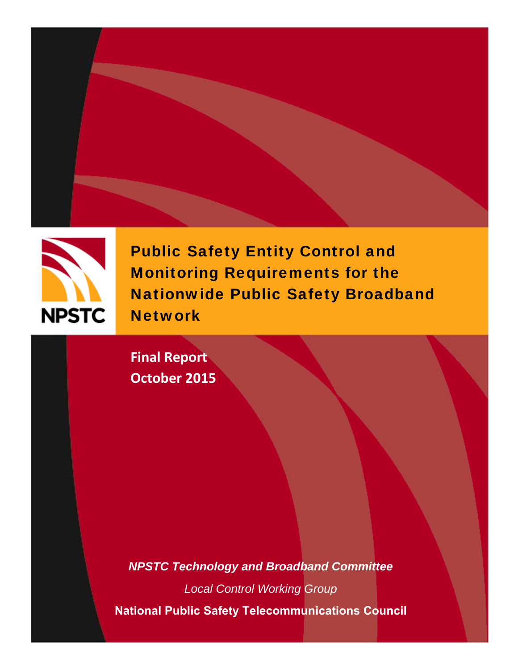



Public Safety Entity Control and Monitoring Requirements for the Nationwide Public Safety Broadband **Network** 

**Final Report October 2015**

*NPSTC Technology and Broadband Committee Local Control Working Group*  **National Public Safety Telecommunications Council**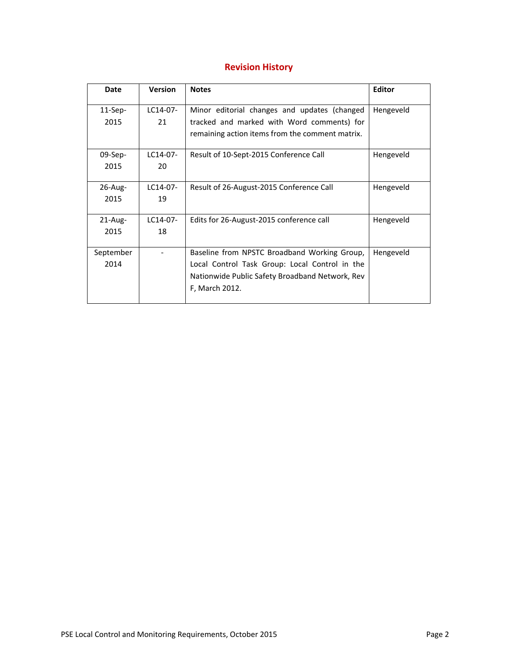## **Revision History**

| Date       | <b>Version</b> | <b>Notes</b>                                    | <b>Editor</b> |
|------------|----------------|-------------------------------------------------|---------------|
| $11-Sep-$  | LC14-07-       | Minor editorial changes and updates (changed    | Hengeveld     |
| 2015       | 21             | tracked and marked with Word comments) for      |               |
|            |                | remaining action items from the comment matrix. |               |
| $09-Sep-$  | $1C14-07-$     | Result of 10-Sept-2015 Conference Call          | Hengeveld     |
| 2015       | 20             |                                                 |               |
| $26$ -Aug- | LC14-07-       | Result of 26-August-2015 Conference Call        | Hengeveld     |
| 2015       | 19             |                                                 |               |
| $21$ -Aug- | $LC14-07-$     | Edits for 26-August-2015 conference call        | Hengeveld     |
| 2015       | 18             |                                                 |               |
| September  |                | Baseline from NPSTC Broadband Working Group,    | Hengeveld     |
| 2014       |                | Local Control Task Group: Local Control in the  |               |
|            |                | Nationwide Public Safety Broadband Network, Rev |               |
|            |                | F, March 2012.                                  |               |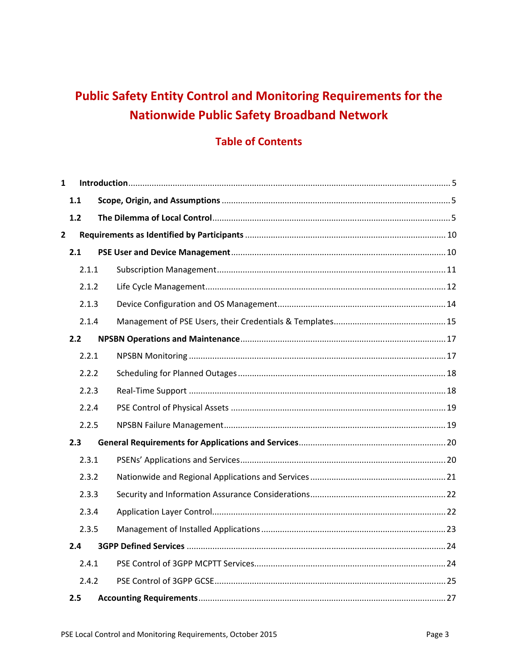# **Public Safety Entity Control and Monitoring Requirements for the Nationwide Public Safety Broadband Network**

## **Table of Contents**

| $\mathbf{1}$   |       |  |
|----------------|-------|--|
|                | 1.1   |  |
|                | 1.2   |  |
| $\overline{2}$ |       |  |
|                | 2.1   |  |
|                | 2.1.1 |  |
|                | 2.1.2 |  |
|                | 2.1.3 |  |
|                | 2.1.4 |  |
|                | 2.2   |  |
|                | 2.2.1 |  |
|                | 2.2.2 |  |
|                | 2.2.3 |  |
|                | 2.2.4 |  |
|                | 2.2.5 |  |
|                | 2.3   |  |
|                | 2.3.1 |  |
|                | 2.3.2 |  |
|                | 2.3.3 |  |
|                | 2.3.4 |  |
|                | 2.3.5 |  |
|                | 2.4   |  |
|                | 2.4.1 |  |
|                | 2.4.2 |  |
|                | 2.5   |  |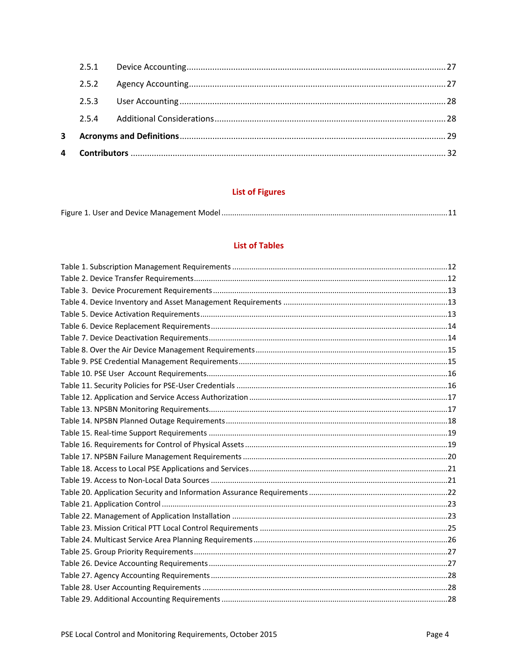## **List of Figures**

|--|

### **List of Tables**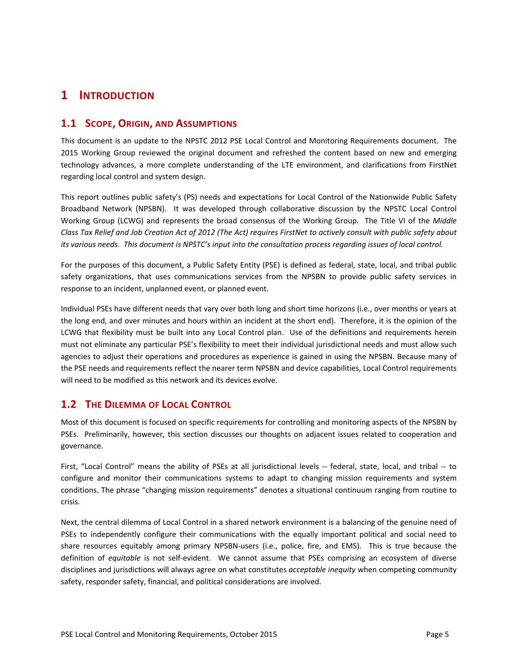## **1 INTRODUCTION**

### **1.1 SCOPE, ORIGIN, AND ASSUMPTIONS**

This document is an update to the NPSTC 2012 PSE Local Control and Monitoring Requirements document. The 2015 Working Group reviewed the original document and refreshed the content based on new and emerging technology advances, a more complete understanding of the LTE environment, and clarifications from FirstNet regarding local control and system design.

This report outlines public safety's (PS) needs and expectations for Local Control of the Nationwide Public Safety Broadband Network (NPSBN). It was developed through collaborative discussion by the NPSTC Local Control Working Group (LCWG) and represents the broad consensus of the Working Group. The Title VI of the *Middle Class Tax Relief and Job Creation Act of 2012 (The Act) requires FirstNet to actively consult with public safety about its various needs. This document is NPSTC's input into the consultation process regarding issues of local control.*

For the purposes of this document, a Public Safety Entity (PSE) is defined as federal, state, local, and tribal public safety organizations, that uses communications services from the NPSBN to provide public safety services in response to an incident, unplanned event, or planned event.

Individual PSEs have different needs that vary over both long and short time horizons (i.e., over months or years at the long end, and over minutes and hours within an incident at the short end). Therefore, it is the opinion of the LCWG that flexibility must be built into any Local Control plan. Use of the definitions and requirements herein must not eliminate any particular PSE's flexibility to meet their individual jurisdictional needs and must allow such agencies to adjust their operations and procedures as experience is gained in using the NPSBN. Because many of the PSE needs and requirements reflect the nearer term NPSBN and device capabilities, Local Control requirements will need to be modified as this network and its devices evolve.

## **1.2 THE DILEMMA OF LOCAL CONTROL**

Most of this document is focused on specific requirements for controlling and monitoring aspects of the NPSBN by PSEs. Preliminarily, however, this section discusses our thoughts on adjacent issues related to cooperation and governance.

First, "Local Control" means the ability of PSEs at all jurisdictional levels -- federal, state, local, and tribal -- to configure and monitor their communications systems to adapt to changing mission requirements and system conditions. The phrase "changing mission requirements" denotes a situational continuum ranging from routine to crisis.

Next, the central dilemma of Local Control in a shared network environment is a balancing of the genuine need of PSEs to independently configure their communications with the equally important political and social need to share resources equitably among primary NPSBN-users (i.e., police, fire, and EMS). This is true because the definition of *equitable* is not self‐evident. We cannot assume that PSEs comprising an ecosystem of diverse disciplines and jurisdictions will always agree on what constitutes *acceptable inequity* when competing community safety, responder safety, financial, and political considerations are involved.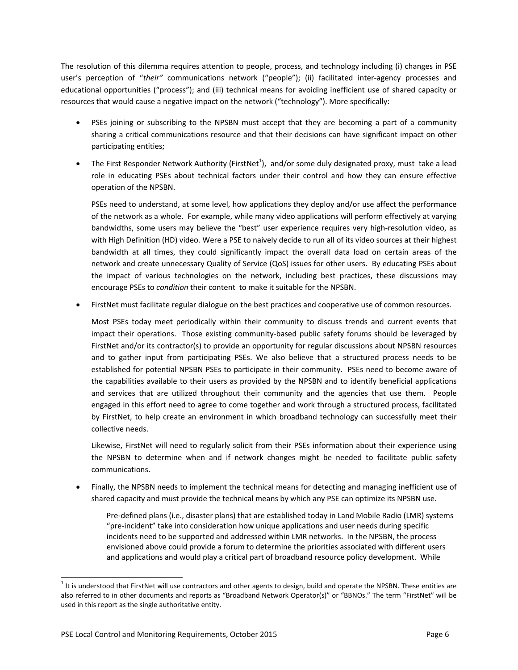The resolution of this dilemma requires attention to people, process, and technology including (i) changes in PSE user's perception of "*their"* communications network ("people"); (ii) facilitated inter‐agency processes and educational opportunities ("process"); and (iii) technical means for avoiding inefficient use of shared capacity or resources that would cause a negative impact on the network ("technology"). More specifically:

- PSEs joining or subscribing to the NPSBN must accept that they are becoming a part of a community sharing a critical communications resource and that their decisions can have significant impact on other participating entities;
- The First Responder Network Authority (FirstNet<sup>1</sup>), and/or some duly designated proxy, must take a lead role in educating PSEs about technical factors under their control and how they can ensure effective operation of the NPSBN.

PSEs need to understand, at some level, how applications they deploy and/or use affect the performance of the network as a whole. For example, while many video applications will perform effectively at varying bandwidths, some users may believe the "best" user experience requires very high-resolution video, as with High Definition (HD) video. Were a PSE to naively decide to run all of its video sources at their highest bandwidth at all times, they could significantly impact the overall data load on certain areas of the network and create unnecessary Quality of Service (QoS) issues for other users. By educating PSEs about the impact of various technologies on the network, including best practices, these discussions may encourage PSEs to *condition* their content to make it suitable for the NPSBN.

FirstNet must facilitate regular dialogue on the best practices and cooperative use of common resources.

Most PSEs today meet periodically within their community to discuss trends and current events that impact their operations. Those existing community-based public safety forums should be leveraged by FirstNet and/or its contractor(s) to provide an opportunity for regular discussions about NPSBN resources and to gather input from participating PSEs. We also believe that a structured process needs to be established for potential NPSBN PSEs to participate in their community. PSEs need to become aware of the capabilities available to their users as provided by the NPSBN and to identify beneficial applications and services that are utilized throughout their community and the agencies that use them. People engaged in this effort need to agree to come together and work through a structured process, facilitated by FirstNet, to help create an environment in which broadband technology can successfully meet their collective needs.

Likewise, FirstNet will need to regularly solicit from their PSEs information about their experience using the NPSBN to determine when and if network changes might be needed to facilitate public safety communications.

• Finally, the NPSBN needs to implement the technical means for detecting and managing inefficient use of shared capacity and must provide the technical means by which any PSE can optimize its NPSBN use.

Pre‐defined plans (i.e., disaster plans) that are established today in Land Mobile Radio (LMR) systems "pre‐incident" take into consideration how unique applications and user needs during specific incidents need to be supported and addressed within LMR networks. In the NPSBN, the process envisioned above could provide a forum to determine the priorities associated with different users and applications and would play a critical part of broadband resource policy development. While

<sup>1&</sup>lt;br><sup>1</sup> It is understood that FirstNet will use contractors and other agents to design, build and operate the NPSBN. These entities are also referred to in other documents and reports as "Broadband Network Operator(s)" or "BBNOs." The term "FirstNet" will be used in this report as the single authoritative entity.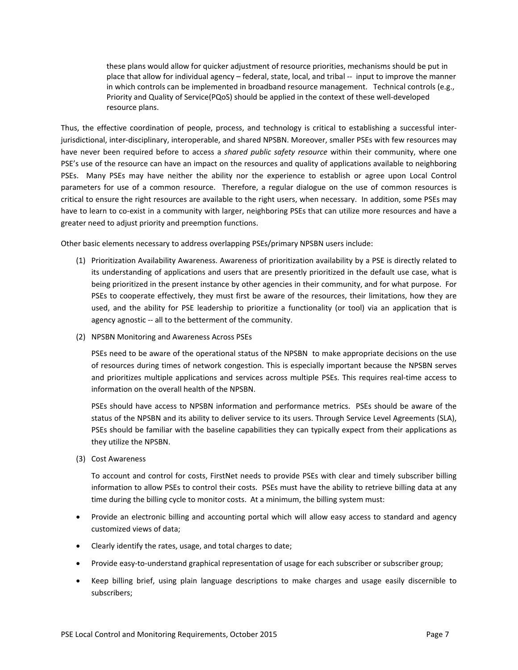these plans would allow for quicker adjustment of resource priorities, mechanisms should be put in place that allow for individual agency – federal, state, local, and tribal ‐‐ input to improve the manner in which controls can be implemented in broadband resource management. Technical controls (e.g., Priority and Quality of Service(PQoS) should be applied in the context of these well‐developed resource plans.

Thus, the effective coordination of people, process, and technology is critical to establishing a successful interjurisdictional, inter‐disciplinary, interoperable, and shared NPSBN. Moreover, smaller PSEs with few resources may have never been required before to access a *shared public safety resource* within their community, where one PSE's use of the resource can have an impact on the resources and quality of applications available to neighboring PSEs. Many PSEs may have neither the ability nor the experience to establish or agree upon Local Control parameters for use of a common resource. Therefore, a regular dialogue on the use of common resources is critical to ensure the right resources are available to the right users, when necessary. In addition, some PSEs may have to learn to co-exist in a community with larger, neighboring PSEs that can utilize more resources and have a greater need to adjust priority and preemption functions.

Other basic elements necessary to address overlapping PSEs/primary NPSBN users include:

- (1) Prioritization Availability Awareness. Awareness of prioritization availability by a PSE is directly related to its understanding of applications and users that are presently prioritized in the default use case, what is being prioritized in the present instance by other agencies in their community, and for what purpose. For PSEs to cooperate effectively, they must first be aware of the resources, their limitations, how they are used, and the ability for PSE leadership to prioritize a functionality (or tool) via an application that is agency agnostic -- all to the betterment of the community.
- (2) NPSBN Monitoring and Awareness Across PSEs

PSEs need to be aware of the operational status of the NPSBN to make appropriate decisions on the use of resources during times of network congestion. This is especially important because the NPSBN serves and prioritizes multiple applications and services across multiple PSEs. This requires real‐time access to information on the overall health of the NPSBN.

PSEs should have access to NPSBN information and performance metrics. PSEs should be aware of the status of the NPSBN and its ability to deliver service to its users. Through Service Level Agreements (SLA), PSEs should be familiar with the baseline capabilities they can typically expect from their applications as they utilize the NPSBN.

(3) Cost Awareness

To account and control for costs, FirstNet needs to provide PSEs with clear and timely subscriber billing information to allow PSEs to control their costs. PSEs must have the ability to retrieve billing data at any time during the billing cycle to monitor costs. At a minimum, the billing system must:

- Provide an electronic billing and accounting portal which will allow easy access to standard and agency customized views of data;
- Clearly identify the rates, usage, and total charges to date;
- Provide easy-to-understand graphical representation of usage for each subscriber or subscriber group;
- Keep billing brief, using plain language descriptions to make charges and usage easily discernible to subscribers;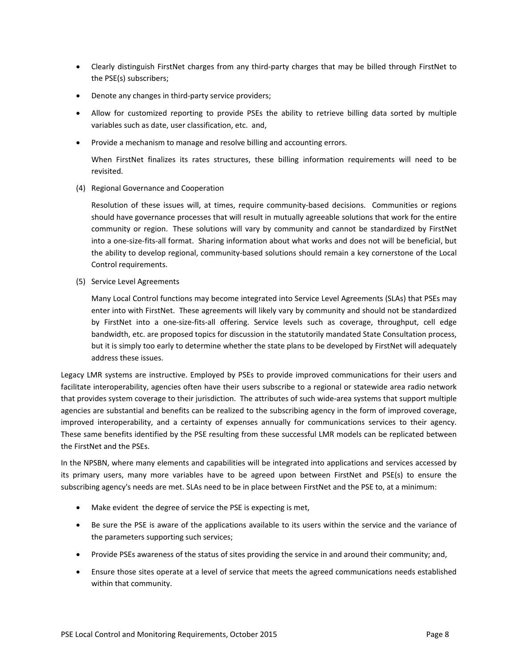- Clearly distinguish FirstNet charges from any third-party charges that may be billed through FirstNet to the PSE(s) subscribers;
- Denote any changes in third-party service providers;
- Allow for customized reporting to provide PSEs the ability to retrieve billing data sorted by multiple variables such as date, user classification, etc. and,
- Provide a mechanism to manage and resolve billing and accounting errors.

When FirstNet finalizes its rates structures, these billing information requirements will need to be revisited.

(4) Regional Governance and Cooperation

Resolution of these issues will, at times, require community-based decisions. Communities or regions should have governance processes that will result in mutually agreeable solutions that work for the entire community or region. These solutions will vary by community and cannot be standardized by FirstNet into a one‐size‐fits‐all format. Sharing information about what works and does not will be beneficial, but the ability to develop regional, community-based solutions should remain a key cornerstone of the Local Control requirements.

(5) Service Level Agreements

Many Local Control functions may become integrated into Service Level Agreements (SLAs) that PSEs may enter into with FirstNet. These agreements will likely vary by community and should not be standardized by FirstNet into a one-size-fits-all offering. Service levels such as coverage, throughput, cell edge bandwidth, etc. are proposed topics for discussion in the statutorily mandated State Consultation process, but it is simply too early to determine whether the state plans to be developed by FirstNet will adequately address these issues.

Legacy LMR systems are instructive. Employed by PSEs to provide improved communications for their users and facilitate interoperability, agencies often have their users subscribe to a regional or statewide area radio network that provides system coverage to their jurisdiction. The attributes of such wide‐area systems that support multiple agencies are substantial and benefits can be realized to the subscribing agency in the form of improved coverage, improved interoperability, and a certainty of expenses annually for communications services to their agency. These same benefits identified by the PSE resulting from these successful LMR models can be replicated between the FirstNet and the PSEs.

In the NPSBN, where many elements and capabilities will be integrated into applications and services accessed by its primary users, many more variables have to be agreed upon between FirstNet and PSE(s) to ensure the subscribing agency's needs are met. SLAs need to be in place between FirstNet and the PSE to, at a minimum:

- Make evident the degree of service the PSE is expecting is met,
- Be sure the PSE is aware of the applications available to its users within the service and the variance of the parameters supporting such services;
- Provide PSEs awareness of the status of sites providing the service in and around their community; and,
- Ensure those sites operate at a level of service that meets the agreed communications needs established within that community.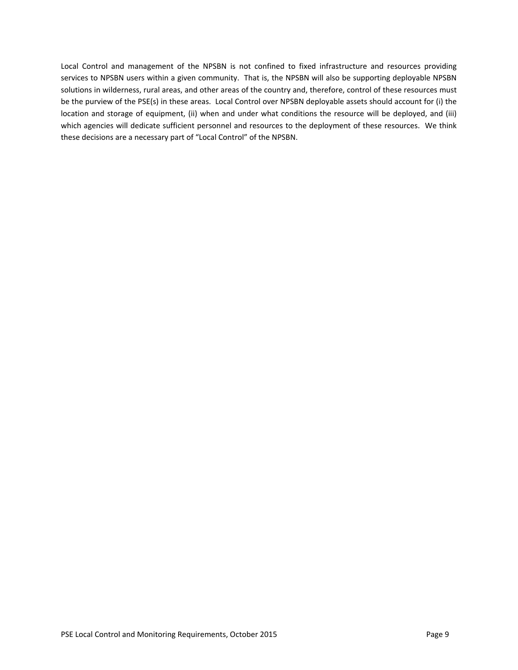Local Control and management of the NPSBN is not confined to fixed infrastructure and resources providing services to NPSBN users within a given community. That is, the NPSBN will also be supporting deployable NPSBN solutions in wilderness, rural areas, and other areas of the country and, therefore, control of these resources must be the purview of the PSE(s) in these areas. Local Control over NPSBN deployable assets should account for (i) the location and storage of equipment, (ii) when and under what conditions the resource will be deployed, and (iii) which agencies will dedicate sufficient personnel and resources to the deployment of these resources. We think these decisions are a necessary part of "Local Control" of the NPSBN.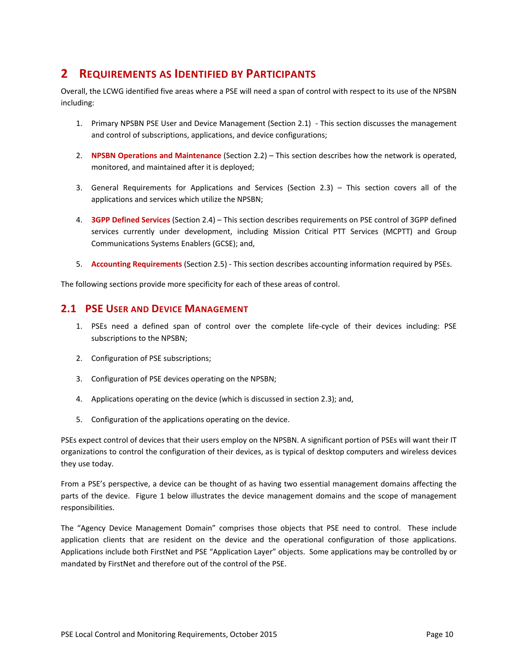## **2 REQUIREMENTS AS IDENTIFIED BY PARTICIPANTS**

Overall, the LCWG identified five areas where a PSE will need a span of control with respect to its use of the NPSBN including:

- 1. Primary NPSBN PSE User and Device Management (Section 2.1) ‐ This section discusses the management and control of subscriptions, applications, and device configurations;
- 2. **NPSBN Operations and Maintenance** (Section 2.2) This section describes how the network is operated, monitored, and maintained after it is deployed;
- 3. General Requirements for Applications and Services (Section 2.3) This section covers all of the applications and services which utilize the NPSBN;
- 4. **3GPP Defined Services** (Section 2.4) This section describes requirements on PSE control of 3GPP defined services currently under development, including Mission Critical PTT Services (MCPTT) and Group Communications Systems Enablers (GCSE); and,
- 5. **Accounting Requirements** (Section 2.5) ‐ This section describes accounting information required by PSEs.

The following sections provide more specificity for each of these areas of control.

### **2.1 PSE USER AND DEVICE MANAGEMENT**

- 1. PSEs need a defined span of control over the complete life‐cycle of their devices including: PSE subscriptions to the NPSBN;
- 2. Configuration of PSE subscriptions;
- 3. Configuration of PSE devices operating on the NPSBN;
- 4. Applications operating on the device (which is discussed in section 2.3); and,
- 5. Configuration of the applications operating on the device.

PSEs expect control of devices that their users employ on the NPSBN. A significant portion of PSEs will want their IT organizations to control the configuration of their devices, as is typical of desktop computers and wireless devices they use today.

From a PSE's perspective, a device can be thought of as having two essential management domains affecting the parts of the device. Figure 1 below illustrates the device management domains and the scope of management responsibilities.

The "Agency Device Management Domain" comprises those objects that PSE need to control. These include application clients that are resident on the device and the operational configuration of those applications. Applications include both FirstNet and PSE "Application Layer" objects. Some applications may be controlled by or mandated by FirstNet and therefore out of the control of the PSE.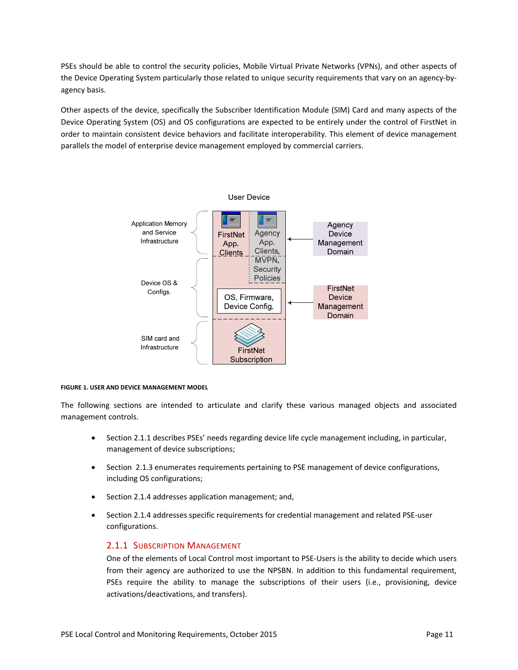PSEs should be able to control the security policies, Mobile Virtual Private Networks (VPNs), and other aspects of the Device Operating System particularly those related to unique security requirements that vary on an agency-byagency basis.

Other aspects of the device, specifically the Subscriber Identification Module (SIM) Card and many aspects of the Device Operating System (OS) and OS configurations are expected to be entirely under the control of FirstNet in order to maintain consistent device behaviors and facilitate interoperability. This element of device management parallels the model of enterprise device management employed by commercial carriers.



#### **FIGURE 1. USER AND DEVICE MANAGEMENT MODEL**

The following sections are intended to articulate and clarify these various managed objects and associated management controls.

- Section 2.1.1 describes PSEs' needs regarding device life cycle management including, in particular, management of device subscriptions;
- Section 2.1.3 enumerates requirements pertaining to PSE management of device configurations, including OS configurations;
- Section 2.1.4 addresses application management; and,
- Section 2.1.4 addresses specific requirements for credential management and related PSE-user configurations.

#### 2.1.1 SUBSCRIPTION MANAGEMENT

One of the elements of Local Control most important to PSE‐Users is the ability to decide which users from their agency are authorized to use the NPSBN. In addition to this fundamental requirement, PSEs require the ability to manage the subscriptions of their users (i.e., provisioning, device activations/deactivations, and transfers).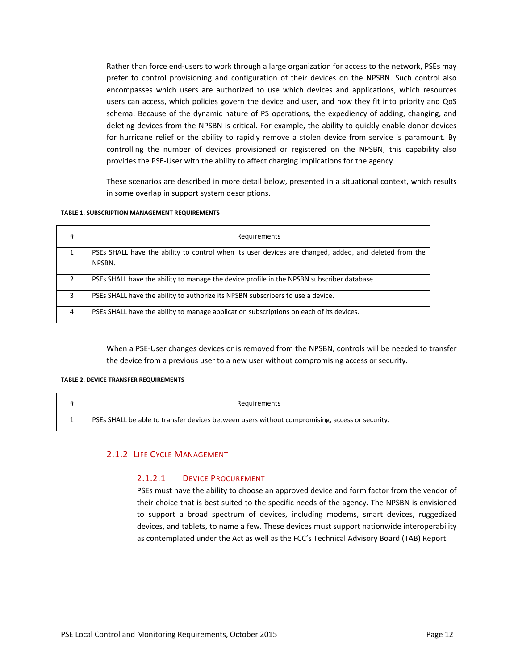Rather than force end‐users to work through a large organization for access to the network, PSEs may prefer to control provisioning and configuration of their devices on the NPSBN. Such control also encompasses which users are authorized to use which devices and applications, which resources users can access, which policies govern the device and user, and how they fit into priority and QoS schema. Because of the dynamic nature of PS operations, the expediency of adding, changing, and deleting devices from the NPSBN is critical. For example, the ability to quickly enable donor devices for hurricane relief or the ability to rapidly remove a stolen device from service is paramount. By controlling the number of devices provisioned or registered on the NPSBN, this capability also provides the PSE‐User with the ability to affect charging implications for the agency.

These scenarios are described in more detail below, presented in a situational context, which results in some overlap in support system descriptions.

#### **TABLE 1. SUBSCRIPTION MANAGEMENT REQUIREMENTS**

| #              | Requirements                                                                                                    |
|----------------|-----------------------------------------------------------------------------------------------------------------|
|                | PSEs SHALL have the ability to control when its user devices are changed, added, and deleted from the<br>NPSBN. |
| $\mathfrak{p}$ | PSEs SHALL have the ability to manage the device profile in the NPSBN subscriber database.                      |
| 3              | PSEs SHALL have the ability to authorize its NPSBN subscribers to use a device.                                 |
| 4              | PSEs SHALL have the ability to manage application subscriptions on each of its devices.                         |

When a PSE‐User changes devices or is removed from the NPSBN, controls will be needed to transfer the device from a previous user to a new user without compromising access or security.

#### **TABLE 2. DEVICE TRANSFER REQUIREMENTS**

| Requirements                                                                                   |
|------------------------------------------------------------------------------------------------|
| PSEs SHALL be able to transfer devices between users without compromising, access or security. |

### 2.1.2 LIFE CYCLE MANAGEMENT

### 2.1.2.1 DEVICE PROCUREMENT

PSEs must have the ability to choose an approved device and form factor from the vendor of their choice that is best suited to the specific needs of the agency. The NPSBN is envisioned to support a broad spectrum of devices, including modems, smart devices, ruggedized devices, and tablets, to name a few. These devices must support nationwide interoperability as contemplated under the Act as well as the FCC's Technical Advisory Board (TAB) Report.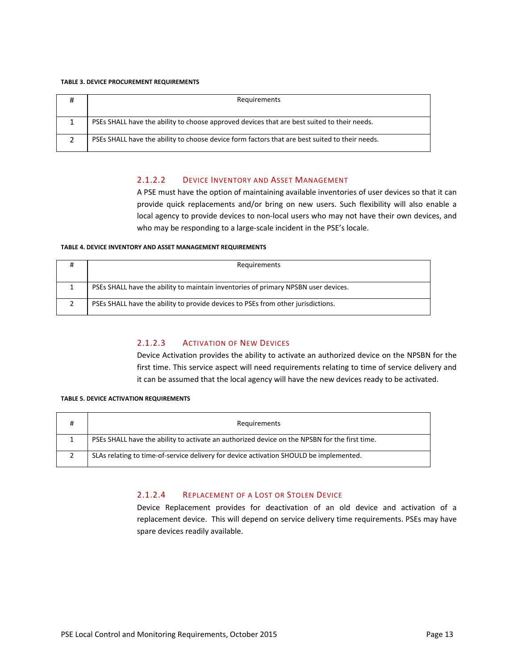#### **TABLE 3. DEVICE PROCUREMENT REQUIREMENTS**

| Requirements                                                                                   |
|------------------------------------------------------------------------------------------------|
| PSEs SHALL have the ability to choose approved devices that are best suited to their needs.    |
| PSEs SHALL have the ability to choose device form factors that are best suited to their needs. |

### 2.1.2.2 DEVICE INVENTORY AND ASSET MANAGEMENT

A PSE must have the option of maintaining available inventories of user devices so that it can provide quick replacements and/or bring on new users. Such flexibility will also enable a local agency to provide devices to non‐local users who may not have their own devices, and who may be responding to a large-scale incident in the PSE's locale.

#### **TABLE 4. DEVICE INVENTORY AND ASSET MANAGEMENT REQUIREMENTS**

| Requirements                                                                       |
|------------------------------------------------------------------------------------|
| PSEs SHALL have the ability to maintain inventories of primary NPSBN user devices. |
| PSEs SHALL have the ability to provide devices to PSEs from other jurisdictions.   |

### 2.1.2.3 ACTIVATION OF NEW DEVICES

Device Activation provides the ability to activate an authorized device on the NPSBN for the first time. This service aspect will need requirements relating to time of service delivery and it can be assumed that the local agency will have the new devices ready to be activated.

#### **TABLE 5. DEVICE ACTIVATION REQUIREMENTS**

| Requirements                                                                                  |
|-----------------------------------------------------------------------------------------------|
| PSEs SHALL have the ability to activate an authorized device on the NPSBN for the first time. |
| SLAs relating to time-of-service delivery for device activation SHOULD be implemented.        |

### 2.1.2.4 REPLACEMENT OF A LOST OR STOLEN DEVICE

Device Replacement provides for deactivation of an old device and activation of a replacement device. This will depend on service delivery time requirements. PSEs may have spare devices readily available.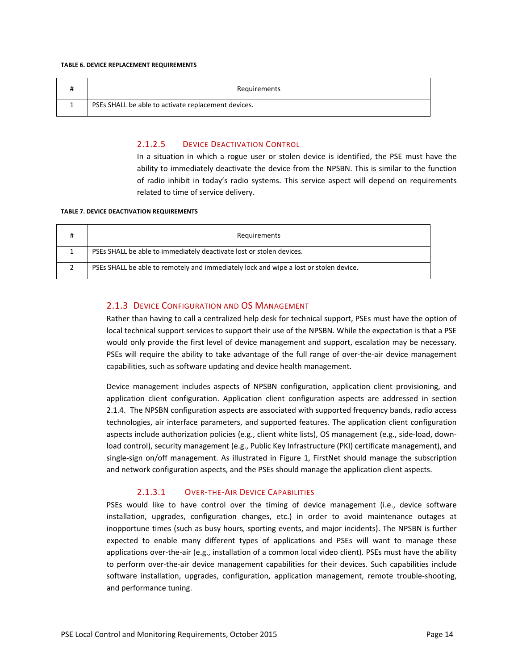#### **TABLE 6. DEVICE REPLACEMENT REQUIREMENTS**

| Requirements                                        |
|-----------------------------------------------------|
| PSEs SHALL be able to activate replacement devices. |

### 2.1.2.5 DEVICE DEACTIVATION CONTROL

In a situation in which a rogue user or stolen device is identified, the PSE must have the ability to immediately deactivate the device from the NPSBN. This is similar to the function of radio inhibit in today's radio systems. This service aspect will depend on requirements related to time of service delivery.

#### **TABLE 7. DEVICE DEACTIVATION REQUIREMENTS**

| Requirements                                                                          |
|---------------------------------------------------------------------------------------|
| PSEs SHALL be able to immediately deactivate lost or stolen devices.                  |
| PSEs SHALL be able to remotely and immediately lock and wipe a lost or stolen device. |

### 2.1.3 DEVICE CONFIGURATION AND OS MANAGEMENT

Rather than having to call a centralized help desk for technical support, PSEs must have the option of local technical support services to support their use of the NPSBN. While the expectation is that a PSE would only provide the first level of device management and support, escalation may be necessary. PSEs will require the ability to take advantage of the full range of over-the-air device management capabilities, such as software updating and device health management.

Device management includes aspects of NPSBN configuration, application client provisioning, and application client configuration. Application client configuration aspects are addressed in section 2.1.4. The NPSBN configuration aspects are associated with supported frequency bands, radio access technologies, air interface parameters, and supported features. The application client configuration aspects include authorization policies (e.g., client white lists), OS management (e.g., side‐load, down‐ load control), security management (e.g., Public Key Infrastructure (PKI) certificate management), and single-sign on/off management. As illustrated in Figure 1, FirstNet should manage the subscription and network configuration aspects, and the PSEs should manage the application client aspects.

### 2.1.3.1 OVER‐THE‐AIR DEVICE CAPABILITIES

PSEs would like to have control over the timing of device management (i.e., device software installation, upgrades, configuration changes, etc.) in order to avoid maintenance outages at inopportune times (such as busy hours, sporting events, and major incidents). The NPSBN is further expected to enable many different types of applications and PSEs will want to manage these applications over-the-air (e.g., installation of a common local video client). PSEs must have the ability to perform over-the-air device management capabilities for their devices. Such capabilities include software installation, upgrades, configuration, application management, remote trouble-shooting, and performance tuning.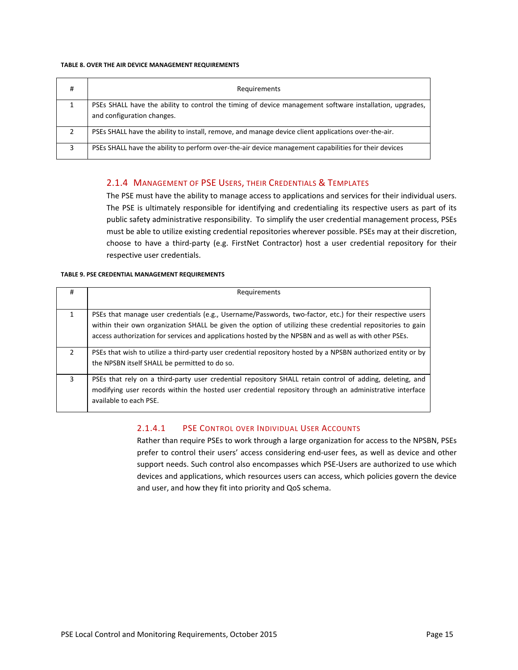#### **TABLE 8. OVER THE AIR DEVICE MANAGEMENT REQUIREMENTS**

| # | Requirements                                                                                                                          |
|---|---------------------------------------------------------------------------------------------------------------------------------------|
|   | PSEs SHALL have the ability to control the timing of device management software installation, upgrades,<br>and configuration changes. |
| າ | PSEs SHALL have the ability to install, remove, and manage device client applications over-the-air.                                   |
| 3 | PSEs SHALL have the ability to perform over-the-air device management capabilities for their devices                                  |

### 2.1.4 MANAGEMENT OF PSE USERS, THEIR CREDENTIALS & TEMPLATES

The PSE must have the ability to manage access to applications and services for their individual users. The PSE is ultimately responsible for identifying and credentialing its respective users as part of its public safety administrative responsibility. To simplify the user credential management process, PSEs must be able to utilize existing credential repositories wherever possible. PSEs may at their discretion, choose to have a third-party (e.g. FirstNet Contractor) host a user credential repository for their respective user credentials.

#### **TABLE 9. PSE CREDENTIAL MANAGEMENT REQUIREMENTS**

| #            | Requirements                                                                                                                                                                                                                                                                                                                      |
|--------------|-----------------------------------------------------------------------------------------------------------------------------------------------------------------------------------------------------------------------------------------------------------------------------------------------------------------------------------|
|              |                                                                                                                                                                                                                                                                                                                                   |
| $\mathbf{1}$ | PSEs that manage user credentials (e.g., Username/Passwords, two-factor, etc.) for their respective users<br>within their own organization SHALL be given the option of utilizing these credential repositories to gain<br>access authorization for services and applications hosted by the NPSBN and as well as with other PSEs. |
| 2            | PSEs that wish to utilize a third-party user credential repository hosted by a NPSBN authorized entity or by<br>the NPSBN itself SHALL be permitted to do so.                                                                                                                                                                     |
| 3            | PSEs that rely on a third-party user credential repository SHALL retain control of adding, deleting, and<br>modifying user records within the hosted user credential repository through an administrative interface<br>available to each PSE.                                                                                     |

#### 2.1.4.1 PSE CONTROL OVER INDIVIDUAL USER ACCOUNTS

Rather than require PSEs to work through a large organization for access to the NPSBN, PSEs prefer to control their users' access considering end‐user fees, as well as device and other support needs. Such control also encompasses which PSE-Users are authorized to use which devices and applications, which resources users can access, which policies govern the device and user, and how they fit into priority and QoS schema.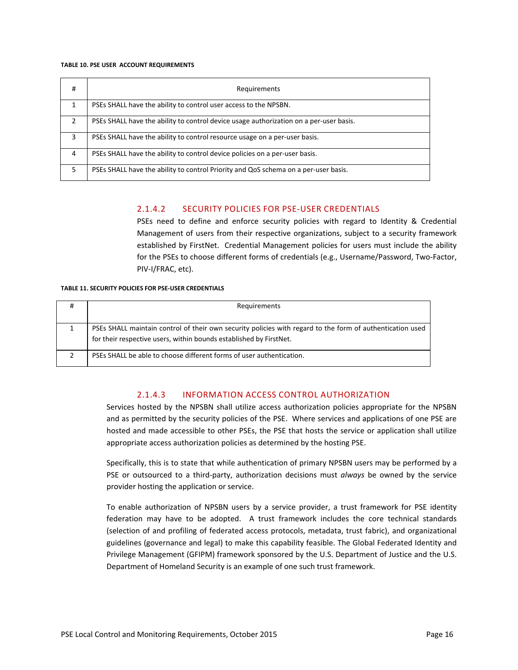#### **TABLE 10. PSE USER ACCOUNT REQUIREMENTS**

| #             | Requirements                                                                           |
|---------------|----------------------------------------------------------------------------------------|
|               | PSEs SHALL have the ability to control user access to the NPSBN.                       |
| $\mathcal{P}$ | PSEs SHALL have the ability to control device usage authorization on a per-user basis. |
| 3             | PSEs SHALL have the ability to control resource usage on a per-user basis.             |
| 4             | PSEs SHALL have the ability to control device policies on a per-user basis.            |
| 5             | PSEs SHALL have the ability to control Priority and QoS schema on a per-user basis.    |

### 2.1.4.2 SECURITY POLICIES FOR PSE‐USER CREDENTIALS

PSEs need to define and enforce security policies with regard to Identity & Credential Management of users from their respective organizations, subject to a security framework established by FirstNet. Credential Management policies for users must include the ability for the PSEs to choose different forms of credentials (e.g., Username/Password, Two‐Factor, PIV‐I/FRAC, etc).

#### **TABLE 11. SECURITY POLICIES FOR PSE‐USER CREDENTIALS**

| Requirements                                                                                              |
|-----------------------------------------------------------------------------------------------------------|
|                                                                                                           |
| PSEs SHALL maintain control of their own security policies with regard to the form of authentication used |
| for their respective users, within bounds established by FirstNet.                                        |
| PSEs SHALL be able to choose different forms of user authentication.                                      |

### 2.1.4.3 INFORMATION ACCESS CONTROL AUTHORIZATION

Services hosted by the NPSBN shall utilize access authorization policies appropriate for the NPSBN and as permitted by the security policies of the PSE. Where services and applications of one PSE are hosted and made accessible to other PSEs, the PSE that hosts the service or application shall utilize appropriate access authorization policies as determined by the hosting PSE.

Specifically, this is to state that while authentication of primary NPSBN users may be performed by a PSE or outsourced to a third-party, authorization decisions must *always* be owned by the service provider hosting the application or service.

To enable authorization of NPSBN users by a service provider, a trust framework for PSE identity federation may have to be adopted. A trust framework includes the core technical standards (selection of and profiling of federated access protocols, metadata, trust fabric), and organizational guidelines (governance and legal) to make this capability feasible. The Global Federated Identity and Privilege Management (GFIPM) framework sponsored by the U.S. Department of Justice and the U.S. Department of Homeland Security is an example of one such trust framework.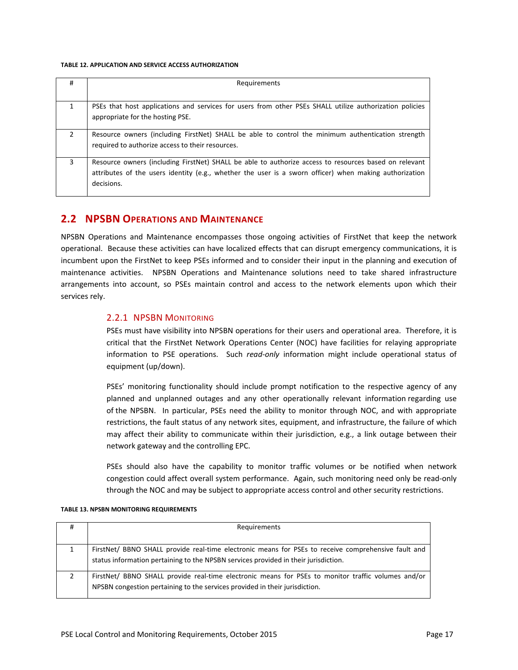#### **TABLE 12. APPLICATION AND SERVICE ACCESS AUTHORIZATION**

| #             | Requirements                                                                                                                                                                                                                  |
|---------------|-------------------------------------------------------------------------------------------------------------------------------------------------------------------------------------------------------------------------------|
|               |                                                                                                                                                                                                                               |
|               | PSEs that host applications and services for users from other PSEs SHALL utilize authorization policies<br>appropriate for the hosting PSE.                                                                                   |
| $\mathcal{P}$ | Resource owners (including FirstNet) SHALL be able to control the minimum authentication strength<br>required to authorize access to their resources.                                                                         |
| 3             | Resource owners (including FirstNet) SHALL be able to authorize access to resources based on relevant<br>attributes of the users identity (e.g., whether the user is a sworn officer) when making authorization<br>decisions. |

### **2.2 NPSBN OPERATIONS AND MAINTENANCE**

NPSBN Operations and Maintenance encompasses those ongoing activities of FirstNet that keep the network operational. Because these activities can have localized effects that can disrupt emergency communications, it is incumbent upon the FirstNet to keep PSEs informed and to consider their input in the planning and execution of maintenance activities. NPSBN Operations and Maintenance solutions need to take shared infrastructure arrangements into account, so PSEs maintain control and access to the network elements upon which their services rely.

### 2.2.1 NPSBN MONITORING

PSEs must have visibility into NPSBN operations for their users and operational area. Therefore, it is critical that the FirstNet Network Operations Center (NOC) have facilities for relaying appropriate information to PSE operations. Such *read-only* information might include operational status of equipment (up/down).

PSEs' monitoring functionality should include prompt notification to the respective agency of any planned and unplanned outages and any other operationally relevant information regarding use of the NPSBN. In particular, PSEs need the ability to monitor through NOC, and with appropriate restrictions, the fault status of any network sites, equipment, and infrastructure, the failure of which may affect their ability to communicate within their jurisdiction, e.g., a link outage between their network gateway and the controlling EPC.

PSEs should also have the capability to monitor traffic volumes or be notified when network congestion could affect overall system performance. Again, such monitoring need only be read‐only through the NOC and may be subject to appropriate access control and other security restrictions.

#### **TABLE 13. NPSBN MONITORING REQUIREMENTS**

| Ħ | Requirements                                                                                                                                                                               |
|---|--------------------------------------------------------------------------------------------------------------------------------------------------------------------------------------------|
|   |                                                                                                                                                                                            |
|   | FirstNet/ BBNO SHALL provide real-time electronic means for PSEs to receive comprehensive fault and<br>status information pertaining to the NPSBN services provided in their jurisdiction. |
|   | FirstNet/ BBNO SHALL provide real-time electronic means for PSEs to monitor traffic volumes and/or<br>NPSBN congestion pertaining to the services provided in their jurisdiction.          |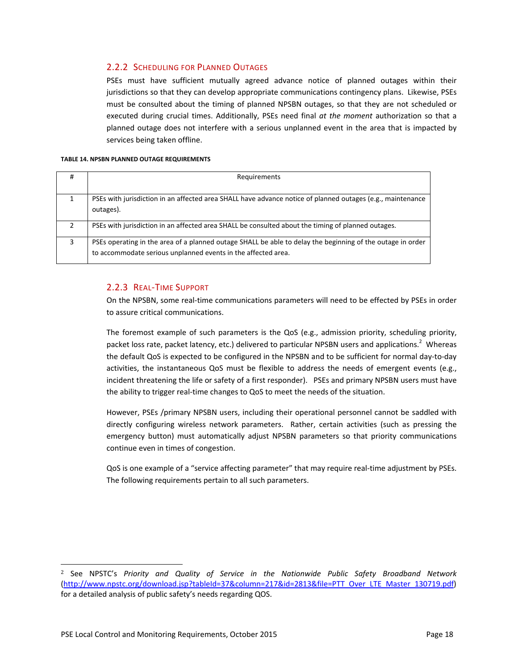### 2.2.2 SCHEDULING FOR PLANNED OUTAGES

PSEs must have sufficient mutually agreed advance notice of planned outages within their jurisdictions so that they can develop appropriate communications contingency plans. Likewise, PSEs must be consulted about the timing of planned NPSBN outages, so that they are not scheduled or executed during crucial times. Additionally, PSEs need final *at the moment* authorization so that a planned outage does not interfere with a serious unplanned event in the area that is impacted by services being taken offline.

#### **TABLE 14. NPSBN PLANNED OUTAGE REQUIREMENTS**

| # | Requirements                                                                                                                                                                |
|---|-----------------------------------------------------------------------------------------------------------------------------------------------------------------------------|
|   |                                                                                                                                                                             |
|   | PSEs with jurisdiction in an affected area SHALL have advance notice of planned outages (e.g., maintenance<br>outages).                                                     |
| ∍ | PSEs with jurisdiction in an affected area SHALL be consulted about the timing of planned outages.                                                                          |
| 3 | PSEs operating in the area of a planned outage SHALL be able to delay the beginning of the outage in order<br>to accommodate serious unplanned events in the affected area. |

### 2.2.3 REAL‐TIME SUPPORT

On the NPSBN, some real‐time communications parameters will need to be effected by PSEs in order to assure critical communications.

The foremost example of such parameters is the QoS (e.g., admission priority, scheduling priority, packet loss rate, packet latency, etc.) delivered to particular NPSBN users and applications.<sup>2</sup> Whereas the default QoS is expected to be configured in the NPSBN and to be sufficient for normal day‐to‐day activities, the instantaneous QoS must be flexible to address the needs of emergent events (e.g., incident threatening the life or safety of a first responder). PSEs and primary NPSBN users must have the ability to trigger real‐time changes to QoS to meet the needs of the situation.

However, PSEs /primary NPSBN users, including their operational personnel cannot be saddled with directly configuring wireless network parameters. Rather, certain activities (such as pressing the emergency button) must automatically adjust NPSBN parameters so that priority communications continue even in times of congestion.

QoS is one example of a "service affecting parameter" that may require real‐time adjustment by PSEs. The following requirements pertain to all such parameters.

<u> 1989 - Jan Samuel Barbara, político establecente de la propia de la propia de la propia de la propia de la p</u>

<sup>2</sup> See NPSTC's *Priority and Quality of Service in the Nationwide Public Safety Broadband Network* (http://www.npstc.org/download.jsp?tableId=37&column=217&id=2813&file=PTT\_Over\_LTE\_Master\_130719.pdf) for a detailed analysis of public safety's needs regarding QOS.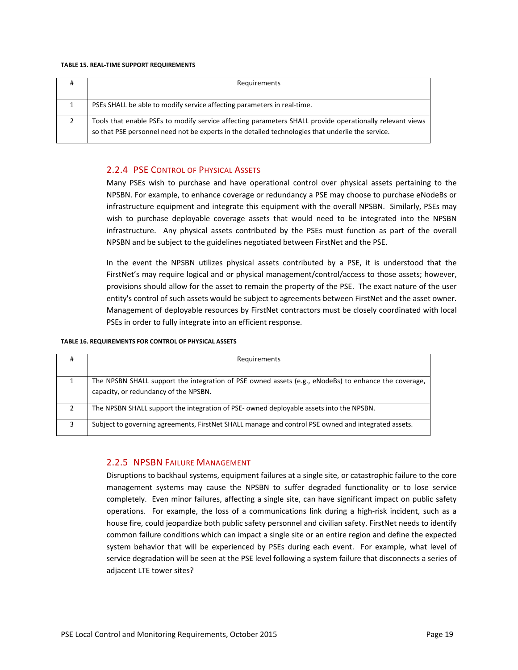#### **TABLE 15. REAL‐TIME SUPPORT REQUIREMENTS**

| ∓ | Requirements                                                                                                                                                                                                  |
|---|---------------------------------------------------------------------------------------------------------------------------------------------------------------------------------------------------------------|
|   |                                                                                                                                                                                                               |
|   | PSEs SHALL be able to modify service affecting parameters in real-time.                                                                                                                                       |
|   | Tools that enable PSEs to modify service affecting parameters SHALL provide operationally relevant views<br>so that PSE personnel need not be experts in the detailed technologies that underlie the service. |

### 2.2.4 PSE CONTROL OF PHYSICAL ASSETS

Many PSEs wish to purchase and have operational control over physical assets pertaining to the NPSBN. For example, to enhance coverage or redundancy a PSE may choose to purchase eNodeBs or infrastructure equipment and integrate this equipment with the overall NPSBN. Similarly, PSEs may wish to purchase deployable coverage assets that would need to be integrated into the NPSBN infrastructure. Any physical assets contributed by the PSEs must function as part of the overall NPSBN and be subject to the guidelines negotiated between FirstNet and the PSE.

In the event the NPSBN utilizes physical assets contributed by a PSE, it is understood that the FirstNet's may require logical and or physical management/control/access to those assets; however, provisions should allow for the asset to remain the property of the PSE. The exact nature of the user entity's control of such assets would be subject to agreements between FirstNet and the asset owner. Management of deployable resources by FirstNet contractors must be closely coordinated with local PSEs in order to fully integrate into an efficient response.

#### **TABLE 16. REQUIREMENTS FOR CONTROL OF PHYSICAL ASSETS**

| #             | Requirements                                                                                                                                  |
|---------------|-----------------------------------------------------------------------------------------------------------------------------------------------|
|               |                                                                                                                                               |
|               | The NPSBN SHALL support the integration of PSE owned assets (e.g., eNodeBs) to enhance the coverage,<br>capacity, or redundancy of the NPSBN. |
| $\mathcal{P}$ | The NPSBN SHALL support the integration of PSE- owned deployable assets into the NPSBN.                                                       |
| 3             | Subject to governing agreements, FirstNet SHALL manage and control PSE owned and integrated assets.                                           |

### 2.2.5 NPSBN FAILURE MANAGEMENT

Disruptions to backhaul systems, equipment failures at a single site, or catastrophic failure to the core management systems may cause the NPSBN to suffer degraded functionality or to lose service completely. Even minor failures, affecting a single site, can have significant impact on public safety operations. For example, the loss of a communications link during a high-risk incident, such as a house fire, could jeopardize both public safety personnel and civilian safety. FirstNet needs to identify common failure conditions which can impact a single site or an entire region and define the expected system behavior that will be experienced by PSEs during each event. For example, what level of service degradation will be seen at the PSE level following a system failure that disconnects a series of adjacent LTE tower sites?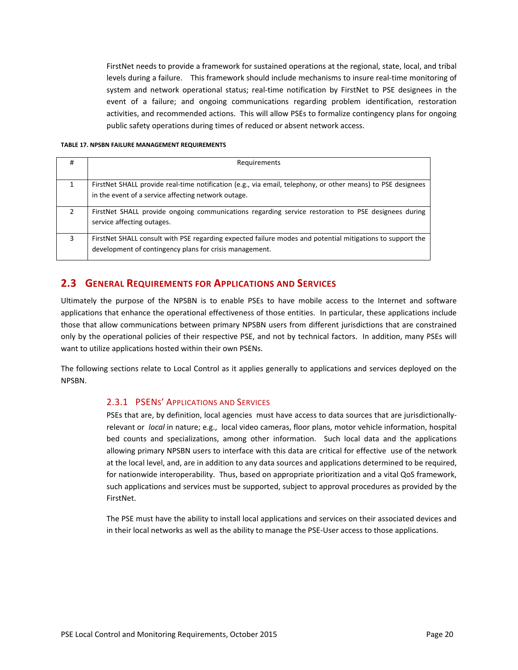FirstNet needs to provide a framework for sustained operations at the regional, state, local, and tribal levels during a failure. This framework should include mechanisms to insure real-time monitoring of system and network operational status; real-time notification by FirstNet to PSE designees in the event of a failure; and ongoing communications regarding problem identification, restoration activities, and recommended actions. This will allow PSEs to formalize contingency plans for ongoing public safety operations during times of reduced or absent network access.

#### **TABLE 17. NPSBN FAILURE MANAGEMENT REQUIREMENTS**

| #             | Requirements                                                                                                                                                         |
|---------------|----------------------------------------------------------------------------------------------------------------------------------------------------------------------|
|               |                                                                                                                                                                      |
| 1             | FirstNet SHALL provide real-time notification (e.g., via email, telephony, or other means) to PSE designees                                                          |
|               | in the event of a service affecting network outage.                                                                                                                  |
| $\mathcal{P}$ | FirstNet SHALL provide ongoing communications regarding service restoration to PSE designees during<br>service affecting outages.                                    |
| 3             | FirstNet SHALL consult with PSE regarding expected failure modes and potential mitigations to support the<br>development of contingency plans for crisis management. |

### **2.3 GENERAL REQUIREMENTS FOR APPLICATIONS AND SERVICES**

Ultimately the purpose of the NPSBN is to enable PSEs to have mobile access to the Internet and software applications that enhance the operational effectiveness of those entities. In particular, these applications include those that allow communications between primary NPSBN users from different jurisdictions that are constrained only by the operational policies of their respective PSE, and not by technical factors. In addition, many PSEs will want to utilize applications hosted within their own PSENs.

The following sections relate to Local Control as it applies generally to applications and services deployed on the NPSBN.

### 2.3.1 PSENS' APPLICATIONS AND SERVICES

PSEs that are, by definition, local agencies must have access to data sources that are jurisdictionallyrelevant or *local* in nature; e.g., local video cameras, floor plans, motor vehicle information, hospital bed counts and specializations, among other information. Such local data and the applications allowing primary NPSBN users to interface with this data are critical for effective use of the network at the local level, and, are in addition to any data sources and applications determined to be required, for nationwide interoperability. Thus, based on appropriate prioritization and a vital QoS framework, such applications and services must be supported, subject to approval procedures as provided by the FirstNet.

The PSE must have the ability to install local applications and services on their associated devices and in their local networks as well as the ability to manage the PSE‐User access to those applications.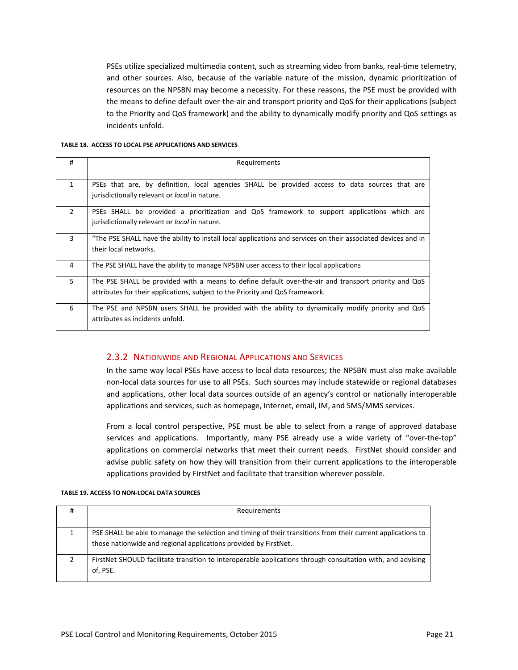PSEs utilize specialized multimedia content, such as streaming video from banks, real-time telemetry, and other sources. Also, because of the variable nature of the mission, dynamic prioritization of resources on the NPSBN may become a necessity. For these reasons, the PSE must be provided with the means to define default over-the-air and transport priority and QoS for their applications (subject to the Priority and QoS framework) and the ability to dynamically modify priority and QoS settings as incidents unfold.

#### **TABLE 18. ACCESS TO LOCAL PSE APPLICATIONS AND SERVICES**

| #              | Requirements                                                                                                                                                                          |
|----------------|---------------------------------------------------------------------------------------------------------------------------------------------------------------------------------------|
| $\mathbf{1}$   | PSEs that are, by definition, local agencies SHALL be provided access to data sources that are<br>jurisdictionally relevant or <i>local</i> in nature.                                |
| $\overline{2}$ | PSEs SHALL be provided a prioritization and QoS framework to support applications which are<br>jurisdictionally relevant or <i>local</i> in nature.                                   |
| 3              | "The PSE SHALL have the ability to install local applications and services on their associated devices and in<br>their local networks.                                                |
| 4              | The PSE SHALL have the ability to manage NPSBN user access to their local applications                                                                                                |
| 5              | The PSE SHALL be provided with a means to define default over-the-air and transport priority and QoS<br>attributes for their applications, subject to the Priority and QoS framework. |
| 6              | The PSE and NPSBN users SHALL be provided with the ability to dynamically modify priority and QoS<br>attributes as incidents unfold.                                                  |

### 2.3.2 NATIONWIDE AND REGIONAL APPLICATIONS AND SERVICES

In the same way local PSEs have access to local data resources; the NPSBN must also make available non‐local data sources for use to all PSEs. Such sources may include statewide or regional databases and applications, other local data sources outside of an agency's control or nationally interoperable applications and services, such as homepage, Internet, email, IM, and SMS/MMS services.

From a local control perspective, PSE must be able to select from a range of approved database services and applications. Importantly, many PSE already use a wide variety of "over-the-top" applications on commercial networks that meet their current needs. FirstNet should consider and advise public safety on how they will transition from their current applications to the interoperable applications provided by FirstNet and facilitate that transition wherever possible.

| # | Requirements                                                                                                                                                                     |
|---|----------------------------------------------------------------------------------------------------------------------------------------------------------------------------------|
|   |                                                                                                                                                                                  |
|   | PSE SHALL be able to manage the selection and timing of their transitions from their current applications to<br>those nationwide and regional applications provided by FirstNet. |
|   | FirstNet SHOULD facilitate transition to interoperable applications through consultation with, and advising<br>of. PSE.                                                          |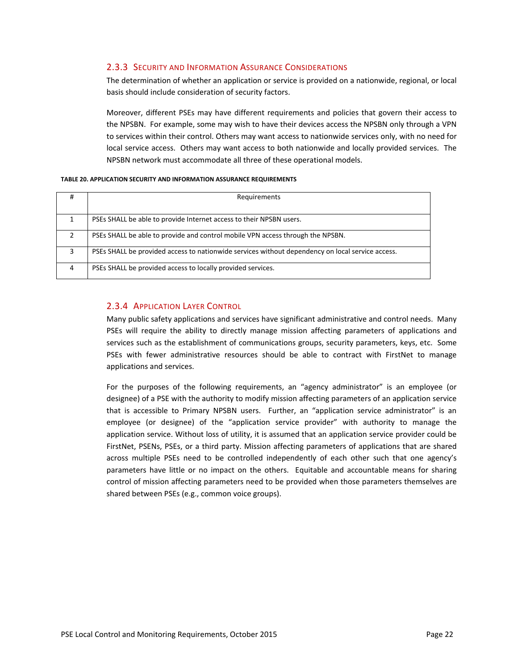### 2.3.3 SECURITY AND INFORMATION ASSURANCE CONSIDERATIONS

The determination of whether an application or service is provided on a nationwide, regional, or local basis should include consideration of security factors.

Moreover, different PSEs may have different requirements and policies that govern their access to the NPSBN. For example, some may wish to have their devices access the NPSBN only through a VPN to services within their control. Others may want access to nationwide services only, with no need for local service access. Others may want access to both nationwide and locally provided services. The NPSBN network must accommodate all three of these operational models.

#### **TABLE 20. APPLICATION SECURITY AND INFORMATION ASSURANCE REQUIREMENTS**

| #              | Requirements                                                                                     |
|----------------|--------------------------------------------------------------------------------------------------|
|                | PSEs SHALL be able to provide Internet access to their NPSBN users.                              |
| $\mathcal{L}$  | PSEs SHALL be able to provide and control mobile VPN access through the NPSBN.                   |
| 3              | PSEs SHALL be provided access to nationwide services without dependency on local service access. |
| $\overline{4}$ | PSEs SHALL be provided access to locally provided services.                                      |

### 2.3.4 APPLICATION LAYER CONTROL

Many public safety applications and services have significant administrative and control needs. Many PSEs will require the ability to directly manage mission affecting parameters of applications and services such as the establishment of communications groups, security parameters, keys, etc. Some PSEs with fewer administrative resources should be able to contract with FirstNet to manage applications and services.

For the purposes of the following requirements, an "agency administrator" is an employee (or designee) of a PSE with the authority to modify mission affecting parameters of an application service that is accessible to Primary NPSBN users. Further, an "application service administrator" is an employee (or designee) of the "application service provider" with authority to manage the application service. Without loss of utility, it is assumed that an application service provider could be FirstNet, PSENs, PSEs, or a third party. Mission affecting parameters of applications that are shared across multiple PSEs need to be controlled independently of each other such that one agency's parameters have little or no impact on the others. Equitable and accountable means for sharing control of mission affecting parameters need to be provided when those parameters themselves are shared between PSEs (e.g., common voice groups).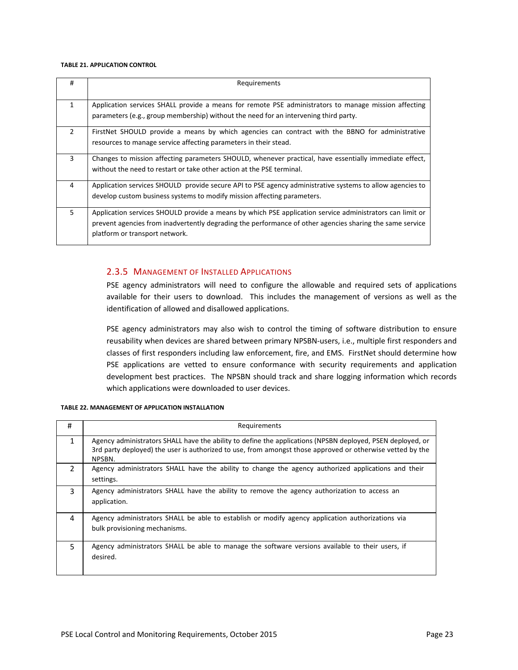#### **TABLE 21. APPLICATION CONTROL**

| #             | Requirements                                                                                                                                                                                                                                           |
|---------------|--------------------------------------------------------------------------------------------------------------------------------------------------------------------------------------------------------------------------------------------------------|
| $\mathbf{1}$  | Application services SHALL provide a means for remote PSE administrators to manage mission affecting<br>parameters (e.g., group membership) without the need for an intervening third party.                                                           |
| $\mathcal{P}$ | FirstNet SHOULD provide a means by which agencies can contract with the BBNO for administrative<br>resources to manage service affecting parameters in their stead.                                                                                    |
| 3             | Changes to mission affecting parameters SHOULD, whenever practical, have essentially immediate effect,<br>without the need to restart or take other action at the PSE terminal.                                                                        |
| 4             | Application services SHOULD provide secure API to PSE agency administrative systems to allow agencies to<br>develop custom business systems to modify mission affecting parameters.                                                                    |
| 5             | Application services SHOULD provide a means by which PSE application service administrators can limit or<br>prevent agencies from inadvertently degrading the performance of other agencies sharing the same service<br>platform or transport network. |

### 2.3.5 MANAGEMENT OF INSTALLED APPLICATIONS

PSE agency administrators will need to configure the allowable and required sets of applications available for their users to download. This includes the management of versions as well as the identification of allowed and disallowed applications.

PSE agency administrators may also wish to control the timing of software distribution to ensure reusability when devices are shared between primary NPSBN‐users, i.e., multiple first responders and classes of first responders including law enforcement, fire, and EMS. FirstNet should determine how PSE applications are vetted to ensure conformance with security requirements and application development best practices. The NPSBN should track and share logging information which records which applications were downloaded to user devices.

| #              | Requirements                                                                                                                                                                                                                      |  |  |
|----------------|-----------------------------------------------------------------------------------------------------------------------------------------------------------------------------------------------------------------------------------|--|--|
| 1              | Agency administrators SHALL have the ability to define the applications (NPSBN deployed, PSEN deployed, or<br>3rd party deployed) the user is authorized to use, from amongst those approved or otherwise vetted by the<br>NPSBN. |  |  |
| $\mathfrak{p}$ | Agency administrators SHALL have the ability to change the agency authorized applications and their<br>settings.                                                                                                                  |  |  |
| 3              | Agency administrators SHALL have the ability to remove the agency authorization to access an<br>application.                                                                                                                      |  |  |
| 4              | Agency administrators SHALL be able to establish or modify agency application authorizations via<br>bulk provisioning mechanisms.                                                                                                 |  |  |
| 5.             | Agency administrators SHALL be able to manage the software versions available to their users, if<br>desired.                                                                                                                      |  |  |

#### **TABLE 22. MANAGEMENT OF APPLICATION INSTALLATION**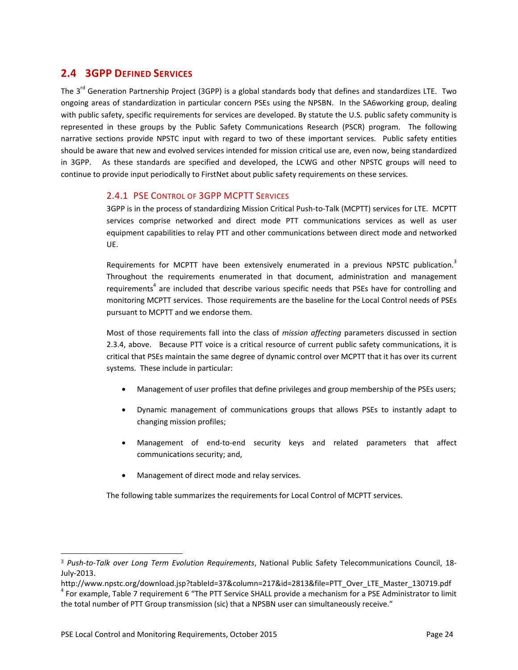### **2.4 3GPP DEFINED SERVICES**

The 3<sup>rd</sup> Generation Partnership Project (3GPP) is a global standards body that defines and standardizes LTE. Two ongoing areas of standardization in particular concern PSEs using the NPSBN. In the SA6working group, dealing with public safety, specific requirements for services are developed. By statute the U.S. public safety community is represented in these groups by the Public Safety Communications Research (PSCR) program. The following narrative sections provide NPSTC input with regard to two of these important services. Public safety entities should be aware that new and evolved services intended for mission critical use are, even now, being standardized in 3GPP. As these standards are specified and developed, the LCWG and other NPSTC groups will need to continue to provide input periodically to FirstNet about public safety requirements on these services.

### 2.4.1 PSE CONTROL OF 3GPP MCPTT SERVICES

3GPP is in the process of standardizing Mission Critical Push‐to‐Talk (MCPTT) services for LTE. MCPTT services comprise networked and direct mode PTT communications services as well as user equipment capabilities to relay PTT and other communications between direct mode and networked UE.

Requirements for MCPTT have been extensively enumerated in a previous NPSTC publication.<sup>3</sup> Throughout the requirements enumerated in that document, administration and management requirements<sup>4</sup> are included that describe various specific needs that PSEs have for controlling and monitoring MCPTT services. Those requirements are the baseline for the Local Control needs of PSEs pursuant to MCPTT and we endorse them.

Most of those requirements fall into the class of *mission affecting* parameters discussed in section 2.3.4, above. Because PTT voice is a critical resource of current public safety communications, it is critical that PSEs maintain the same degree of dynamic control over MCPTT that it has over its current systems. These include in particular:

- Management of user profiles that define privileges and group membership of the PSEs users;
- Dynamic management of communications groups that allows PSEs to instantly adapt to changing mission profiles;
- Management of end‐to‐end security keys and related parameters that affect communications security; and,
- Management of direct mode and relay services.

The following table summarizes the requirements for Local Control of MCPTT services.

 

<sup>3</sup> *Push‐to‐Talk over Long Term Evolution Requirements*, National Public Safety Telecommunications Council, 18‐ July‐2013.

http://www.npstc.org/download.jsp?tableId=37&column=217&id=2813&file=PTT\_Over\_LTE\_Master\_130719.pdf

 $4$  For example, Table 7 requirement 6 "The PTT Service SHALL provide a mechanism for a PSE Administrator to limit the total number of PTT Group transmission (sic) that a NPSBN user can simultaneously receive."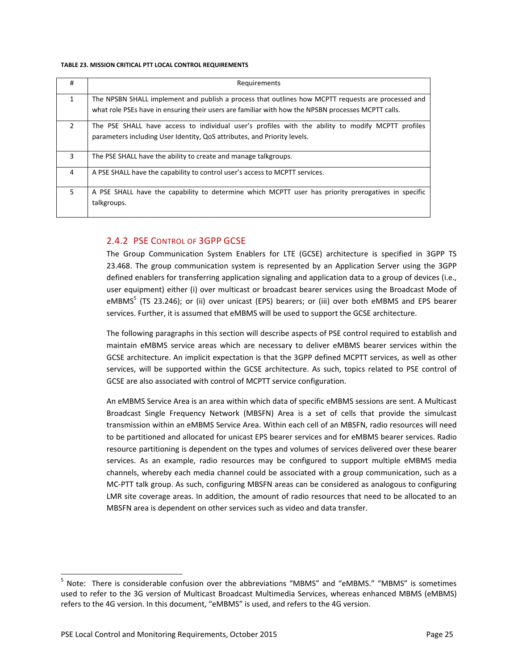#### **TABLE 23. MISSION CRITICAL PTT LOCAL CONTROL REQUIREMENTS**

| #             | Requirements                                                                                                                                                                                             |
|---------------|----------------------------------------------------------------------------------------------------------------------------------------------------------------------------------------------------------|
| $\mathbf{1}$  | The NPSBN SHALL implement and publish a process that outlines how MCPTT requests are processed and<br>what role PSEs have in ensuring their users are familiar with how the NPSBN processes MCPTT calls. |
| $\mathcal{P}$ | The PSE SHALL have access to individual user's profiles with the ability to modify MCPTT profiles<br>parameters including User Identity, QoS attributes, and Priority levels.                            |
| 3             | The PSE SHALL have the ability to create and manage talkgroups.                                                                                                                                          |
| 4             | A PSE SHALL have the capability to control user's access to MCPTT services.                                                                                                                              |
| 5             | A PSE SHALL have the capability to determine which MCPTT user has priority prerogatives in specific<br>talkgroups.                                                                                       |

### 2.4.2 PSE CONTROL OF 3GPP GCSE

The Group Communication System Enablers for LTE (GCSE) architecture is specified in 3GPP TS 23.468. The group communication system is represented by an Application Server using the 3GPP defined enablers for transferring application signaling and application data to a group of devices (i.e., user equipment) either (i) over multicast or broadcast bearer services using the Broadcast Mode of eMBMS $^5$  (TS 23.246); or (ii) over unicast (EPS) bearers; or (iii) over both eMBMS and EPS bearer services. Further, it is assumed that eMBMS will be used to support the GCSE architecture.

The following paragraphs in this section will describe aspects of PSE control required to establish and maintain eMBMS service areas which are necessary to deliver eMBMS bearer services within the GCSE architecture. An implicit expectation is that the 3GPP defined MCPTT services, as well as other services, will be supported within the GCSE architecture. As such, topics related to PSE control of GCSE are also associated with control of MCPTT service configuration.

An eMBMS Service Area is an area within which data of specific eMBMS sessions are sent. A Multicast Broadcast Single Frequency Network (MBSFN) Area is a set of cells that provide the simulcast transmission within an eMBMS Service Area. Within each cell of an MBSFN, radio resources will need to be partitioned and allocated for unicast EPS bearer services and for eMBMS bearer services. Radio resource partitioning is dependent on the types and volumes of services delivered over these bearer services. As an example, radio resources may be configured to support multiple eMBMS media channels, whereby each media channel could be associated with a group communication, such as a MC‐PTT talk group. As such, configuring MBSFN areas can be considered as analogous to configuring LMR site coverage areas. In addition, the amount of radio resources that need to be allocated to an MBSFN area is dependent on other services such as video and data transfer.

 

<sup>&</sup>lt;sup>5</sup> Note: There is considerable confusion over the abbreviations "MBMS" and "eMBMS." "MBMS" is sometimes used to refer to the 3G version of Multicast Broadcast Multimedia Services, whereas enhanced MBMS (eMBMS) refers to the 4G version. In this document, "eMBMS" is used, and refers to the 4G version.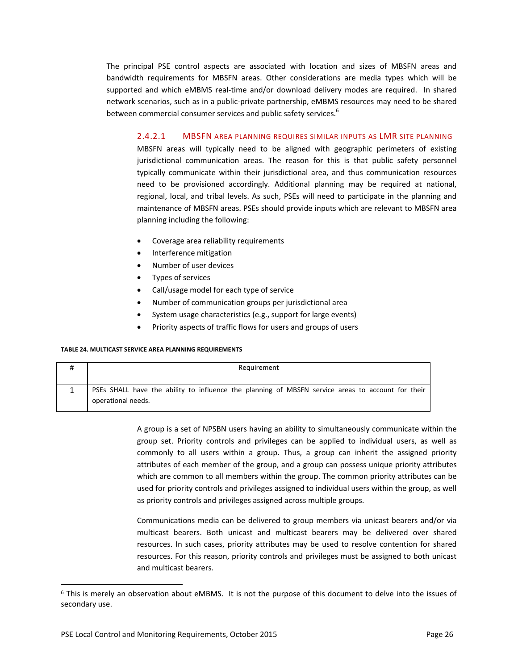The principal PSE control aspects are associated with location and sizes of MBSFN areas and bandwidth requirements for MBSFN areas. Other considerations are media types which will be supported and which eMBMS real-time and/or download delivery modes are required. In shared network scenarios, such as in a public‐private partnership, eMBMS resources may need to be shared between commercial consumer services and public safety services.<sup>6</sup>

### 2.4.2.1 MBSFN AREA PLANNING REQUIRES SIMILAR INPUTS AS LMR SITE PLANNING

MBSFN areas will typically need to be aligned with geographic perimeters of existing jurisdictional communication areas. The reason for this is that public safety personnel typically communicate within their jurisdictional area, and thus communication resources need to be provisioned accordingly. Additional planning may be required at national, regional, local, and tribal levels. As such, PSEs will need to participate in the planning and maintenance of MBSFN areas. PSEs should provide inputs which are relevant to MBSFN area planning including the following:

- Coverage area reliability requirements
- Interference mitigation
- Number of user devices
- Types of services
- Call/usage model for each type of service
- Number of communication groups per jurisdictional area
- System usage characteristics (e.g., support for large events)
- Priority aspects of traffic flows for users and groups of users

#### **TABLE 24. MULTICAST SERVICE AREA PLANNING REQUIREMENTS**

| Requirement                                                                                                             |
|-------------------------------------------------------------------------------------------------------------------------|
| PSEs SHALL have the ability to influence the planning of MBSFN service areas to account for their<br>operational needs. |

A group is a set of NPSBN users having an ability to simultaneously communicate within the group set. Priority controls and privileges can be applied to individual users, as well as commonly to all users within a group. Thus, a group can inherit the assigned priority attributes of each member of the group, and a group can possess unique priority attributes which are common to all members within the group. The common priority attributes can be used for priority controls and privileges assigned to individual users within the group, as well as priority controls and privileges assigned across multiple groups.

Communications media can be delivered to group members via unicast bearers and/or via multicast bearers. Both unicast and multicast bearers may be delivered over shared resources. In such cases, priority attributes may be used to resolve contention for shared resources. For this reason, priority controls and privileges must be assigned to both unicast and multicast bearers.

<u> 1989 - Jan Samuel Barbara, político establecente de la propia de la propia de la propia de la propia de la p</u>

<sup>6</sup> This is merely an observation about eMBMS. It is not the purpose of this document to delve into the issues of secondary use.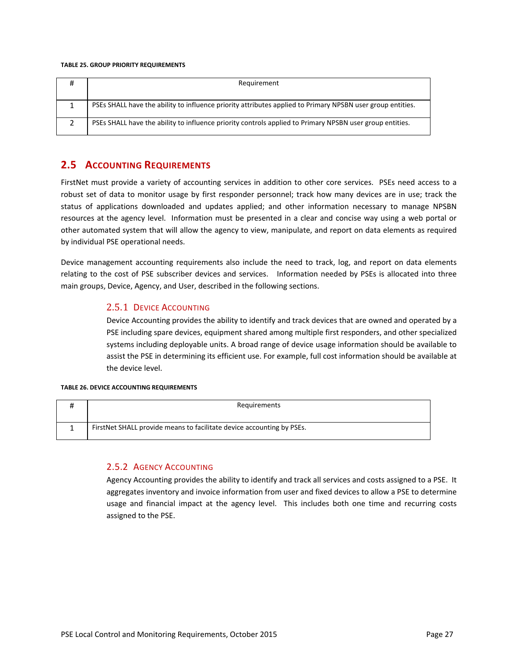#### **TABLE 25. GROUP PRIORITY REQUIREMENTS**

| Requirement                                                                                                |
|------------------------------------------------------------------------------------------------------------|
|                                                                                                            |
| PSEs SHALL have the ability to influence priority attributes applied to Primary NPSBN user group entities. |
| PSEs SHALL have the ability to influence priority controls applied to Primary NPSBN user group entities.   |

### **2.5 ACCOUNTING REQUIREMENTS**

FirstNet must provide a variety of accounting services in addition to other core services. PSEs need access to a robust set of data to monitor usage by first responder personnel; track how many devices are in use; track the status of applications downloaded and updates applied; and other information necessary to manage NPSBN resources at the agency level. Information must be presented in a clear and concise way using a web portal or other automated system that will allow the agency to view, manipulate, and report on data elements as required by individual PSE operational needs.

Device management accounting requirements also include the need to track, log, and report on data elements relating to the cost of PSE subscriber devices and services. Information needed by PSEs is allocated into three main groups, Device, Agency, and User, described in the following sections.

### 2.5.1 DEVICE ACCOUNTING

Device Accounting provides the ability to identify and track devices that are owned and operated by a PSE including spare devices, equipment shared among multiple first responders, and other specialized systems including deployable units. A broad range of device usage information should be available to assist the PSE in determining its efficient use. For example, full cost information should be available at the device level.

#### **TABLE 26. DEVICE ACCOUNTING REQUIREMENTS**

| Requirements                                                          |
|-----------------------------------------------------------------------|
| FirstNet SHALL provide means to facilitate device accounting by PSEs. |

### 2.5.2 AGENCY ACCOUNTING

Agency Accounting provides the ability to identify and track all services and costs assigned to a PSE. It aggregates inventory and invoice information from user and fixed devices to allow a PSE to determine usage and financial impact at the agency level. This includes both one time and recurring costs assigned to the PSE.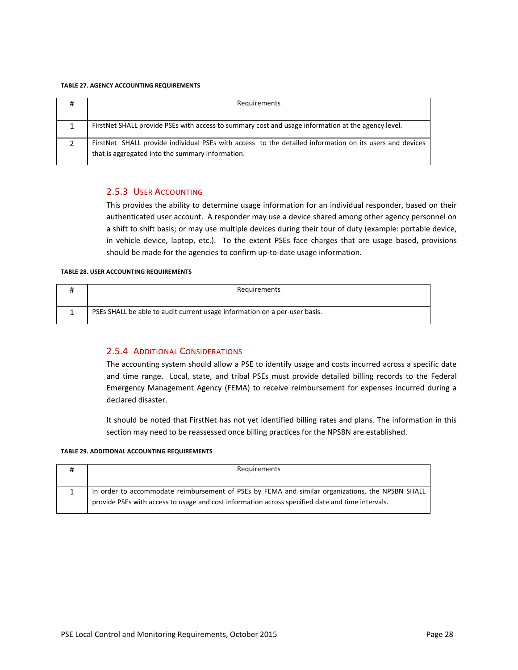#### **TABLE 27. AGENCY ACCOUNTING REQUIREMENTS**

| Requirements                                                                                                                                                |
|-------------------------------------------------------------------------------------------------------------------------------------------------------------|
|                                                                                                                                                             |
| FirstNet SHALL provide PSEs with access to summary cost and usage information at the agency level.                                                          |
| FirstNet SHALL provide individual PSEs with access to the detailed information on its users and devices<br>that is aggregated into the summary information. |

### 2.5.3 USER ACCOUNTING

This provides the ability to determine usage information for an individual responder, based on their authenticated user account. A responder may use a device shared among other agency personnel on a shift to shift basis; or may use multiple devices during their tour of duty (example: portable device, in vehicle device, laptop, etc.). To the extent PSEs face charges that are usage based, provisions should be made for the agencies to confirm up-to-date usage information.

#### **TABLE 28. USER ACCOUNTING REQUIREMENTS**

| Requirements                                                               |
|----------------------------------------------------------------------------|
| PSEs SHALL be able to audit current usage information on a per-user basis. |

### 2.5.4 ADDITIONAL CONSIDERATIONS

The accounting system should allow a PSE to identify usage and costs incurred across a specific date and time range. Local, state, and tribal PSEs must provide detailed billing records to the Federal Emergency Management Agency (FEMA) to receive reimbursement for expenses incurred during a declared disaster.

It should be noted that FirstNet has not yet identified billing rates and plans. The information in this section may need to be reassessed once billing practices for the NPSBN are established.

#### **TABLE 29. ADDITIONAL ACCOUNTING REQUIREMENTS**

| Requirements                                                                                                                                                                                         |
|------------------------------------------------------------------------------------------------------------------------------------------------------------------------------------------------------|
|                                                                                                                                                                                                      |
| In order to accommodate reimbursement of PSEs by FEMA and similar organizations, the NPSBN SHALL<br>provide PSEs with access to usage and cost information across specified date and time intervals. |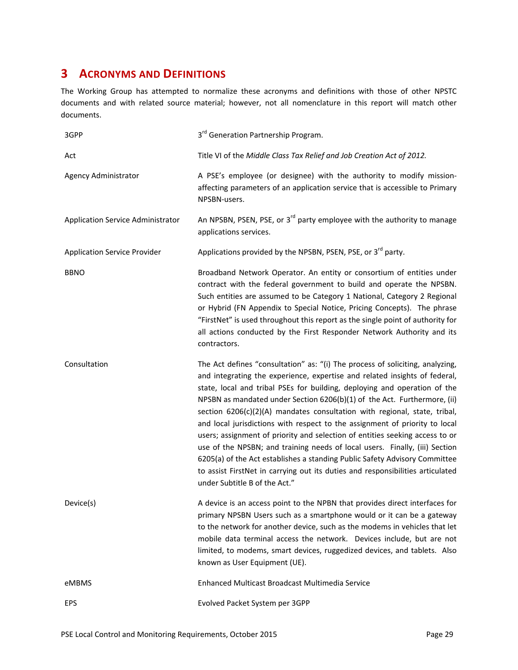## **3 ACRONYMS AND DEFINITIONS**

The Working Group has attempted to normalize these acronyms and definitions with those of other NPSTC documents and with related source material; however, not all nomenclature in this report will match other documents.

| 3GPP                                | 3 <sup>rd</sup> Generation Partnership Program.                                                                                                                                                                                                                                                                                                                                                                                                                                                                                                                                                                                                                                                                                                                                                                                                  |
|-------------------------------------|--------------------------------------------------------------------------------------------------------------------------------------------------------------------------------------------------------------------------------------------------------------------------------------------------------------------------------------------------------------------------------------------------------------------------------------------------------------------------------------------------------------------------------------------------------------------------------------------------------------------------------------------------------------------------------------------------------------------------------------------------------------------------------------------------------------------------------------------------|
| Act                                 | Title VI of the Middle Class Tax Relief and Job Creation Act of 2012.                                                                                                                                                                                                                                                                                                                                                                                                                                                                                                                                                                                                                                                                                                                                                                            |
| Agency Administrator                | A PSE's employee (or designee) with the authority to modify mission-<br>affecting parameters of an application service that is accessible to Primary<br>NPSBN-users.                                                                                                                                                                                                                                                                                                                                                                                                                                                                                                                                                                                                                                                                             |
| Application Service Administrator   | An NPSBN, PSEN, PSE, or 3 <sup>rd</sup> party employee with the authority to manage<br>applications services.                                                                                                                                                                                                                                                                                                                                                                                                                                                                                                                                                                                                                                                                                                                                    |
| <b>Application Service Provider</b> | Applications provided by the NPSBN, PSEN, PSE, or 3 <sup>rd</sup> party.                                                                                                                                                                                                                                                                                                                                                                                                                                                                                                                                                                                                                                                                                                                                                                         |
| <b>BBNO</b>                         | Broadband Network Operator. An entity or consortium of entities under<br>contract with the federal government to build and operate the NPSBN.<br>Such entities are assumed to be Category 1 National, Category 2 Regional<br>or Hybrid (FN Appendix to Special Notice, Pricing Concepts). The phrase<br>"FirstNet" is used throughout this report as the single point of authority for<br>all actions conducted by the First Responder Network Authority and its<br>contractors.                                                                                                                                                                                                                                                                                                                                                                 |
| Consultation                        | The Act defines "consultation" as: "(i) The process of soliciting, analyzing,<br>and integrating the experience, expertise and related insights of federal,<br>state, local and tribal PSEs for building, deploying and operation of the<br>NPSBN as mandated under Section 6206(b)(1) of the Act. Furthermore, (ii)<br>section 6206(c)(2)(A) mandates consultation with regional, state, tribal,<br>and local jurisdictions with respect to the assignment of priority to local<br>users; assignment of priority and selection of entities seeking access to or<br>use of the NPSBN; and training needs of local users. Finally, (iii) Section<br>6205(a) of the Act establishes a standing Public Safety Advisory Committee<br>to assist FirstNet in carrying out its duties and responsibilities articulated<br>under Subtitle B of the Act." |
| Device(s)                           | A device is an access point to the NPBN that provides direct interfaces for<br>primary NPSBN Users such as a smartphone would or it can be a gateway<br>to the network for another device, such as the modems in vehicles that let<br>mobile data terminal access the network. Devices include, but are not<br>limited, to modems, smart devices, ruggedized devices, and tablets. Also<br>known as User Equipment (UE).                                                                                                                                                                                                                                                                                                                                                                                                                         |
| eMBMS                               | Enhanced Multicast Broadcast Multimedia Service                                                                                                                                                                                                                                                                                                                                                                                                                                                                                                                                                                                                                                                                                                                                                                                                  |
| <b>EPS</b>                          | Evolved Packet System per 3GPP                                                                                                                                                                                                                                                                                                                                                                                                                                                                                                                                                                                                                                                                                                                                                                                                                   |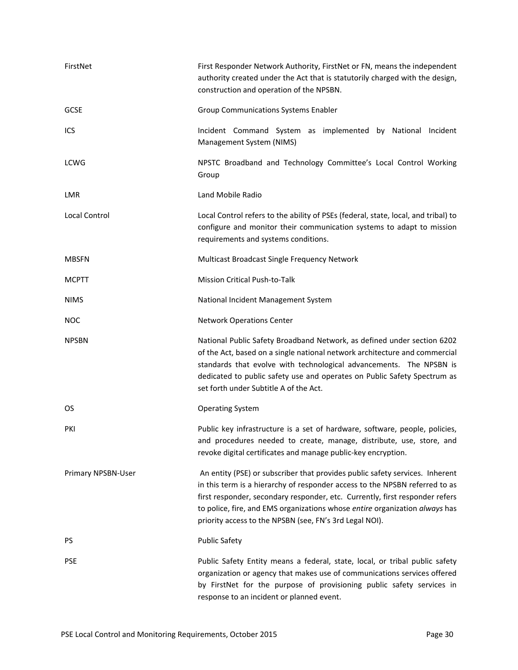| FirstNet           | First Responder Network Authority, FirstNet or FN, means the independent<br>authority created under the Act that is statutorily charged with the design,<br>construction and operation of the NPSBN.                                                                                                                                                                                  |
|--------------------|---------------------------------------------------------------------------------------------------------------------------------------------------------------------------------------------------------------------------------------------------------------------------------------------------------------------------------------------------------------------------------------|
| <b>GCSE</b>        | <b>Group Communications Systems Enabler</b>                                                                                                                                                                                                                                                                                                                                           |
| ICS                | Incident Command System as implemented by National Incident<br>Management System (NIMS)                                                                                                                                                                                                                                                                                               |
| <b>LCWG</b>        | NPSTC Broadband and Technology Committee's Local Control Working<br>Group                                                                                                                                                                                                                                                                                                             |
| LMR                | Land Mobile Radio                                                                                                                                                                                                                                                                                                                                                                     |
| Local Control      | Local Control refers to the ability of PSEs (federal, state, local, and tribal) to<br>configure and monitor their communication systems to adapt to mission<br>requirements and systems conditions.                                                                                                                                                                                   |
| <b>MBSFN</b>       | Multicast Broadcast Single Frequency Network                                                                                                                                                                                                                                                                                                                                          |
| <b>MCPTT</b>       | <b>Mission Critical Push-to-Talk</b>                                                                                                                                                                                                                                                                                                                                                  |
| <b>NIMS</b>        | National Incident Management System                                                                                                                                                                                                                                                                                                                                                   |
| <b>NOC</b>         | <b>Network Operations Center</b>                                                                                                                                                                                                                                                                                                                                                      |
| <b>NPSBN</b>       | National Public Safety Broadband Network, as defined under section 6202<br>of the Act, based on a single national network architecture and commercial<br>standards that evolve with technological advancements. The NPSBN is<br>dedicated to public safety use and operates on Public Safety Spectrum as<br>set forth under Subtitle A of the Act.                                    |
| OS                 | <b>Operating System</b>                                                                                                                                                                                                                                                                                                                                                               |
| PKI                | Public key infrastructure is a set of hardware, software, people, policies,<br>and procedures needed to create, manage, distribute, use, store, and<br>revoke digital certificates and manage public-key encryption.                                                                                                                                                                  |
| Primary NPSBN-User | An entity (PSE) or subscriber that provides public safety services. Inherent<br>in this term is a hierarchy of responder access to the NPSBN referred to as<br>first responder, secondary responder, etc. Currently, first responder refers<br>to police, fire, and EMS organizations whose entire organization always has<br>priority access to the NPSBN (see, FN's 3rd Legal NOI). |
| PS                 | <b>Public Safety</b>                                                                                                                                                                                                                                                                                                                                                                  |
| <b>PSE</b>         | Public Safety Entity means a federal, state, local, or tribal public safety<br>organization or agency that makes use of communications services offered<br>by FirstNet for the purpose of provisioning public safety services in<br>response to an incident or planned event.                                                                                                         |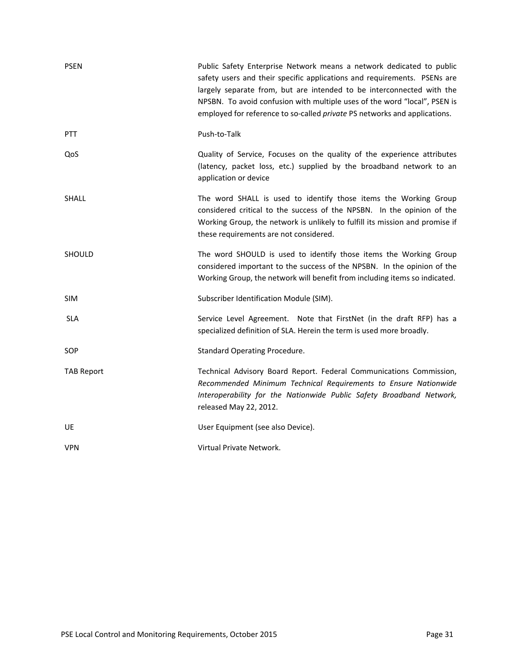| <b>PSEN</b>       | Public Safety Enterprise Network means a network dedicated to public<br>safety users and their specific applications and requirements. PSENs are<br>largely separate from, but are intended to be interconnected with the<br>NPSBN. To avoid confusion with multiple uses of the word "local", PSEN is<br>employed for reference to so-called <i>private</i> PS networks and applications. |
|-------------------|--------------------------------------------------------------------------------------------------------------------------------------------------------------------------------------------------------------------------------------------------------------------------------------------------------------------------------------------------------------------------------------------|
| <b>PTT</b>        | Push-to-Talk                                                                                                                                                                                                                                                                                                                                                                               |
| QoS               | Quality of Service, Focuses on the quality of the experience attributes<br>(latency, packet loss, etc.) supplied by the broadband network to an<br>application or device                                                                                                                                                                                                                   |
| <b>SHALL</b>      | The word SHALL is used to identify those items the Working Group<br>considered critical to the success of the NPSBN. In the opinion of the<br>Working Group, the network is unlikely to fulfill its mission and promise if<br>these requirements are not considered.                                                                                                                       |
| SHOULD            | The word SHOULD is used to identify those items the Working Group<br>considered important to the success of the NPSBN. In the opinion of the<br>Working Group, the network will benefit from including items so indicated.                                                                                                                                                                 |
| <b>SIM</b>        | Subscriber Identification Module (SIM).                                                                                                                                                                                                                                                                                                                                                    |
| <b>SLA</b>        | Service Level Agreement. Note that FirstNet (in the draft RFP) has a<br>specialized definition of SLA. Herein the term is used more broadly.                                                                                                                                                                                                                                               |
| SOP               | <b>Standard Operating Procedure.</b>                                                                                                                                                                                                                                                                                                                                                       |
| <b>TAB Report</b> | Technical Advisory Board Report. Federal Communications Commission,<br>Recommended Minimum Technical Requirements to Ensure Nationwide<br>Interoperability for the Nationwide Public Safety Broadband Network,<br>released May 22, 2012.                                                                                                                                                   |
| <b>UE</b>         | User Equipment (see also Device).                                                                                                                                                                                                                                                                                                                                                          |
| <b>VPN</b>        | Virtual Private Network.                                                                                                                                                                                                                                                                                                                                                                   |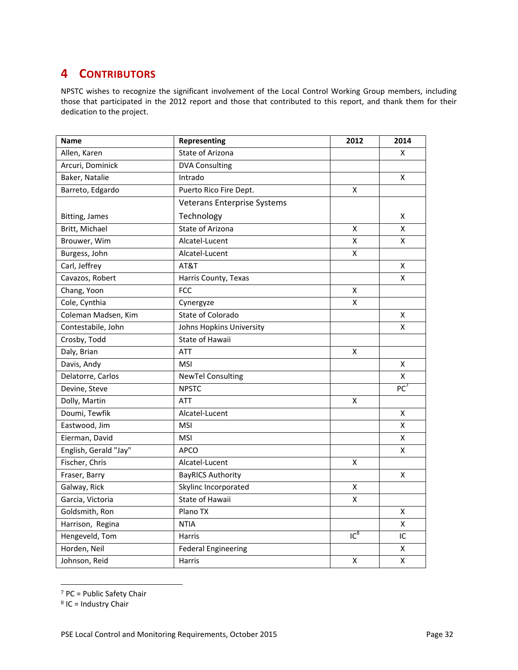## **4 CONTRIBUTORS**

NPSTC wishes to recognize the significant involvement of the Local Control Working Group members, including those that participated in the 2012 report and those that contributed to this report, and thank them for their dedication to the project.

| <b>Name</b>           | Representing                       | 2012            | 2014               |
|-----------------------|------------------------------------|-----------------|--------------------|
| Allen, Karen          | State of Arizona                   |                 | X                  |
| Arcuri, Dominick      | <b>DVA Consulting</b>              |                 |                    |
| Baker, Natalie        | Intrado                            |                 | X                  |
| Barreto, Edgardo      | Puerto Rico Fire Dept.             | X               |                    |
|                       | <b>Veterans Enterprise Systems</b> |                 |                    |
| Bitting, James        | Technology                         |                 | х                  |
| Britt, Michael        | State of Arizona                   | X               | Χ                  |
| Brouwer, Wim          | Alcatel-Lucent                     | X               | Χ                  |
| Burgess, John         | Alcatel-Lucent                     | X               |                    |
| Carl, Jeffrey         | AT&T                               |                 | X                  |
| Cavazos, Robert       | Harris County, Texas               |                 | X                  |
| Chang, Yoon           | <b>FCC</b>                         | X               |                    |
| Cole, Cynthia         | Cynergyze                          | X               |                    |
| Coleman Madsen, Kim   | State of Colorado                  |                 | X                  |
| Contestabile, John    | Johns Hopkins University           |                 | X                  |
| Crosby, Todd          | State of Hawaii                    |                 |                    |
| Daly, Brian           | <b>ATT</b>                         | X               |                    |
| Davis, Andy           | <b>MSI</b>                         |                 | $\pmb{\mathsf{X}}$ |
| Delatorre, Carlos     | <b>NewTel Consulting</b>           |                 | X                  |
| Devine, Steve         | <b>NPSTC</b>                       |                 | PC <sup>7</sup>    |
| Dolly, Martin         | ATT                                | Χ               |                    |
| Doumi, Tewfik         | Alcatel-Lucent                     |                 | Χ                  |
| Eastwood, Jim         | <b>MSI</b>                         |                 | x                  |
| Eierman, David        | <b>MSI</b>                         |                 | X                  |
| English, Gerald "Jay" | <b>APCO</b>                        |                 | X                  |
| Fischer, Chris        | Alcatel-Lucent                     | X               |                    |
| Fraser, Barry         | <b>BayRICS Authority</b>           |                 | Χ                  |
| Galway, Rick          | Skylinc Incorporated               | Χ               |                    |
| Garcia, Victoria      | State of Hawaii                    | X               |                    |
| Goldsmith, Ron        | Plano TX                           |                 | X                  |
| Harrison, Regina      | <b>NTIA</b>                        |                 | Χ                  |
| Hengeveld, Tom        | Harris                             | IC <sup>8</sup> | IC                 |
| Horden, Neil          | <b>Federal Engineering</b>         |                 | х                  |
| Johnson, Reid         | Harris                             | Χ               | Χ                  |

<sup>7</sup> PC = Public Safety Chair

<u> 1989 - Jan Samuel Barbara, político establecente de la propia de la propia de la propia de la propia de la p</u>

 $8$  IC = Industry Chair